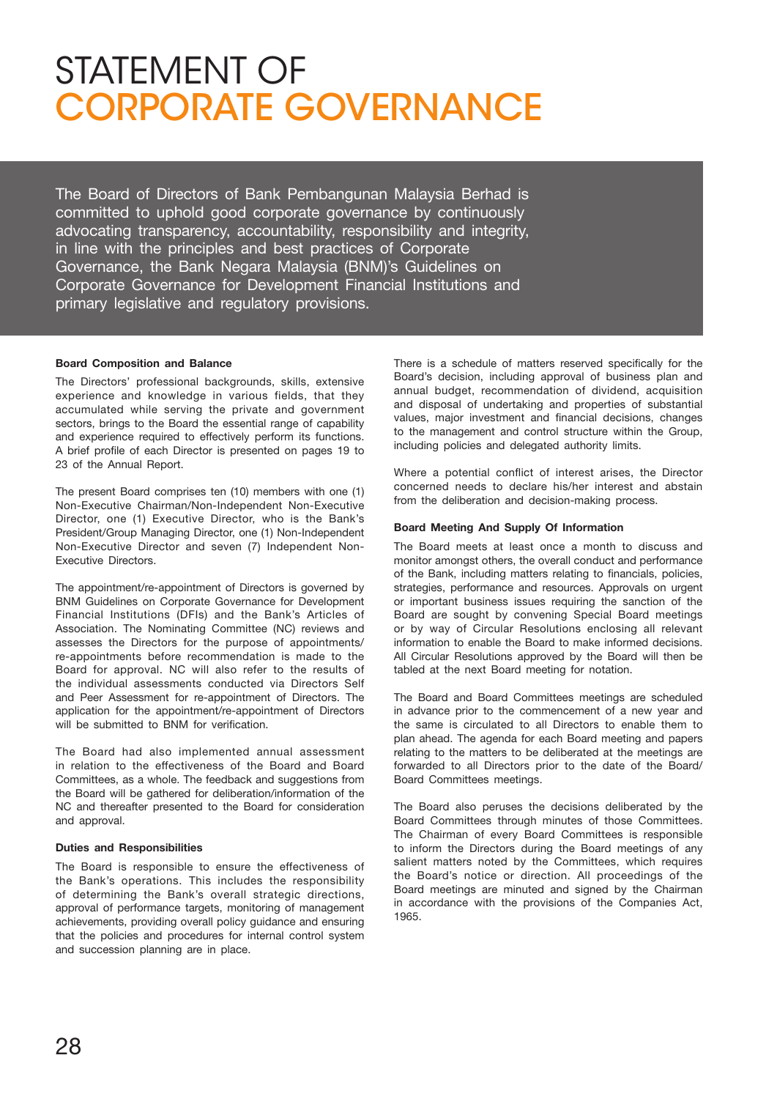# STATEMENT OF Corporate Governance

The Board of Directors of Bank Pembangunan Malaysia Berhad is committed to uphold good corporate governance by continuously advocating transparency, accountability, responsibility and integrity, in line with the principles and best practices of Corporate Governance, the Bank Negara Malaysia (BNM)'s Guidelines on Corporate Governance for Development Financial Institutions and primary legislative and regulatory provisions.

#### **Board Composition and Balance**

The Directors' professional backgrounds, skills, extensive experience and knowledge in various fields, that they accumulated while serving the private and government sectors, brings to the Board the essential range of capability and experience required to effectively perform its functions. A brief profile of each Director is presented on pages 19 to 23 of the Annual Report.

The present Board comprises ten (10) members with one (1) Non-Executive Chairman/Non-Independent Non-Executive Director, one (1) Executive Director, who is the Bank's President/Group Managing Director, one (1) Non-Independent Non-Executive Director and seven (7) Independent Non-Executive Directors.

The appointment/re-appointment of Directors is governed by BNM Guidelines on Corporate Governance for Development Financial Institutions (DFIs) and the Bank's Articles of Association. The Nominating Committee (NC) reviews and assesses the Directors for the purpose of appointments/ re-appointments before recommendation is made to the Board for approval. NC will also refer to the results of the individual assessments conducted via Directors Self and Peer Assessment for re-appointment of Directors. The application for the appointment/re-appointment of Directors will be submitted to BNM for verification.

The Board had also implemented annual assessment in relation to the effectiveness of the Board and Board Committees, as a whole. The feedback and suggestions from the Board will be gathered for deliberation/information of the NC and thereafter presented to the Board for consideration and approval.

# **Duties and Responsibilities**

The Board is responsible to ensure the effectiveness of the Bank's operations. This includes the responsibility of determining the Bank's overall strategic directions, approval of performance targets, monitoring of management achievements, providing overall policy guidance and ensuring that the policies and procedures for internal control system and succession planning are in place.

There is a schedule of matters reserved specifically for the Board's decision, including approval of business plan and annual budget, recommendation of dividend, acquisition and disposal of undertaking and properties of substantial values, major investment and financial decisions, changes to the management and control structure within the Group, including policies and delegated authority limits.

Where a potential conflict of interest arises, the Director concerned needs to declare his/her interest and abstain from the deliberation and decision-making process.

#### **Board Meeting And Supply Of Information**

The Board meets at least once a month to discuss and monitor amongst others, the overall conduct and performance of the Bank, including matters relating to financials, policies, strategies, performance and resources. Approvals on urgent or important business issues requiring the sanction of the Board are sought by convening Special Board meetings or by way of Circular Resolutions enclosing all relevant information to enable the Board to make informed decisions. All Circular Resolutions approved by the Board will then be tabled at the next Board meeting for notation.

The Board and Board Committees meetings are scheduled in advance prior to the commencement of a new year and the same is circulated to all Directors to enable them to plan ahead. The agenda for each Board meeting and papers relating to the matters to be deliberated at the meetings are forwarded to all Directors prior to the date of the Board/ Board Committees meetings.

The Board also peruses the decisions deliberated by the Board Committees through minutes of those Committees. The Chairman of every Board Committees is responsible to inform the Directors during the Board meetings of any salient matters noted by the Committees, which requires the Board's notice or direction. All proceedings of the Board meetings are minuted and signed by the Chairman in accordance with the provisions of the Companies Act, 1965.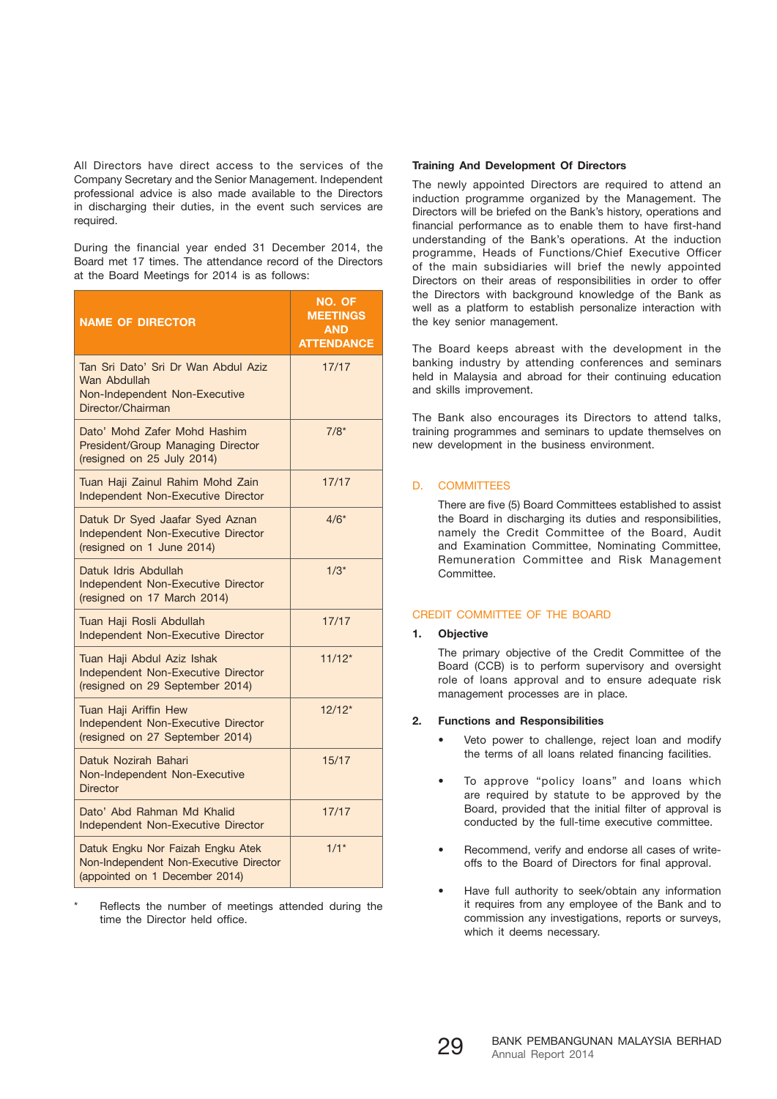All Directors have direct access to the services of the Company Secretary and the Senior Management. Independent professional advice is also made available to the Directors in discharging their duties, in the event such services are required.

During the financial year ended 31 December 2014, the Board met 17 times. The attendance record of the Directors at the Board Meetings for 2014 is as follows:

| <b>NAME OF DIRECTOR</b>                                                                                       | NO. OF<br><b>MEETINGS</b><br><b>AND</b><br><b>ATTENDANCE</b> |
|---------------------------------------------------------------------------------------------------------------|--------------------------------------------------------------|
| Tan Sri Dato' Sri Dr Wan Abdul Aziz<br>Wan Abdullah<br>Non-Independent Non-Executive<br>Director/Chairman     | 17/17                                                        |
| Dato' Mohd Zafer Mohd Hashim<br>President/Group Managing Director<br>(resigned on 25 July 2014)               | $7/8*$                                                       |
| Tuan Haji Zainul Rahim Mohd Zain<br>Independent Non-Executive Director                                        | 17/17                                                        |
| Datuk Dr Syed Jaafar Syed Aznan<br>Independent Non-Executive Director<br>(resigned on 1 June 2014)            | $4/6*$                                                       |
| Datuk Idris Abdullah<br>Independent Non-Executive Director<br>(resigned on 17 March 2014)                     | $1/3*$                                                       |
| Tuan Haji Rosli Abdullah<br>Independent Non-Executive Director                                                | 17/17                                                        |
| Tuan Haji Abdul Aziz Ishak<br>Independent Non-Executive Director<br>(resigned on 29 September 2014)           | $11/12*$                                                     |
| Tuan Haji Ariffin Hew<br>Independent Non-Executive Director<br>(resigned on 27 September 2014)                | $12/12*$                                                     |
| Datuk Nozirah Bahari<br>Non-Independent Non-Executive<br><b>Director</b>                                      | 15/17                                                        |
| Dato' Abd Rahman Md Khalid<br>Independent Non-Executive Director                                              | 17/17                                                        |
| Datuk Engku Nor Faizah Engku Atek<br>Non-Independent Non-Executive Director<br>(appointed on 1 December 2014) | $1/1*$                                                       |

Reflects the number of meetings attended during the time the Director held office.

#### **Training And Development Of Directors**

The newly appointed Directors are required to attend an induction programme organized by the Management. The Directors will be briefed on the Bank's history, operations and financial performance as to enable them to have first-hand understanding of the Bank's operations. At the induction programme, Heads of Functions/Chief Executive Officer of the main subsidiaries will brief the newly appointed Directors on their areas of responsibilities in order to offer the Directors with background knowledge of the Bank as well as a platform to establish personalize interaction with the key senior management.

The Board keeps abreast with the development in the banking industry by attending conferences and seminars held in Malaysia and abroad for their continuing education and skills improvement.

The Bank also encourages its Directors to attend talks, training programmes and seminars to update themselves on new development in the business environment.

#### D. COMMITTEES

 There are five (5) Board Committees established to assist the Board in discharging its duties and responsibilities, namely the Credit Committee of the Board, Audit and Examination Committee, Nominating Committee, Remuneration Committee and Risk Management **Committee** 

#### CREDIT COMMITTEE OF THE BOARD

# **1. Objective**

 The primary objective of the Credit Committee of the Board (CCB) is to perform supervisory and oversight role of loans approval and to ensure adequate risk management processes are in place.

#### **2. Functions and Responsibilities**

- Veto power to challenge, reject loan and modify the terms of all loans related financing facilities.
- To approve "policy loans" and loans which are required by statute to be approved by the Board, provided that the initial filter of approval is conducted by the full-time executive committee.
- Recommend, verify and endorse all cases of writeoffs to the Board of Directors for final approval.
- Have full authority to seek/obtain any information it requires from any employee of the Bank and to commission any investigations, reports or surveys, which it deems necessary.

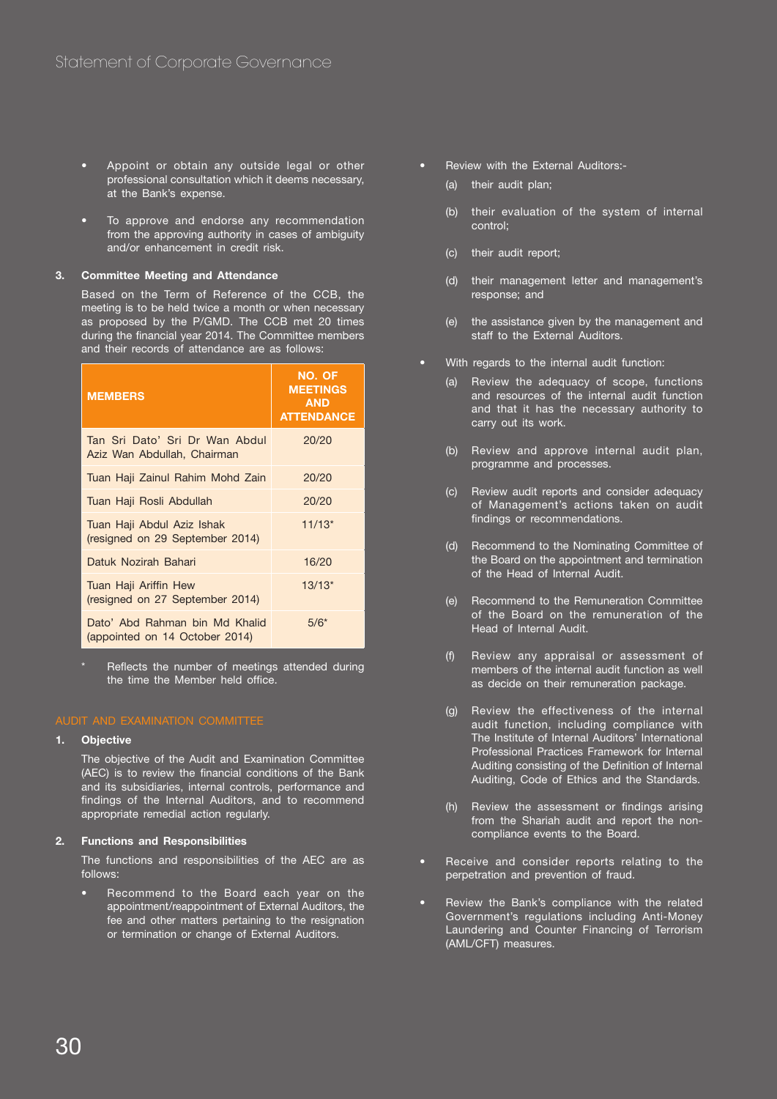- Appoint or obtain any outside legal or other professional consultation which it deems necessary, at the Bank's expense.
- To approve and endorse any recommendation from the approving authority in cases of ambiguity and/or enhancement in credit risk.

# **3. Committee Meeting and Attendance**

 Based on the Term of Reference of the CCB, the meeting is to be held twice a month or when necessary as proposed by the P/GMD. The CCB met 20 times during the financial year 2014. The Committee members and their records of attendance are as follows:

| <b>MEMBERS</b>                                                   | NO. OF<br><b>MEETINGS</b><br><b>AND</b><br><b>ATTENDANCE</b> |
|------------------------------------------------------------------|--------------------------------------------------------------|
| Tan Sri Dato' Sri Dr Wan Abdul<br>Aziz Wan Abdullah, Chairman    | 20/20                                                        |
| Tuan Haji Zainul Rahim Mohd Zain                                 | 20/20                                                        |
| Tuan Haji Rosli Abdullah                                         | 20/20                                                        |
| Tuan Haji Abdul Aziz Ishak<br>(resigned on 29 September 2014)    | $11/13*$                                                     |
| Datuk Nozirah Bahari                                             | 16/20                                                        |
| Tuan Haji Ariffin Hew<br>(resigned on 27 September 2014)         | $13/13*$                                                     |
| Dato' Abd Rahman bin Md Khalid<br>(appointed on 14 October 2014) | $5/6*$                                                       |

Reflects the number of meetings attended during the time the Member held office.

# **1. Objective**

The objective of the Audit and Examination Committee (AEC) is to review the financial conditions of the Bank and its subsidiaries, internal controls, performance and findings of the Internal Auditors, and to recommend appropriate remedial action regularly.

#### **2. Functions and Responsibilities**

 The functions and responsibilities of the AEC are as follows:

• Recommend to the Board each year on the appointment/reappointment of External Auditors, the fee and other matters pertaining to the resignation or termination or change of External Auditors.

- Review with the External Auditors:-
	- (a) their audit plan;
	- (b) their evaluation of the system of internal control;
	- (c) their audit report;
	- (d) their management letter and management's response; and
	- (e) the assistance given by the management and staff to the External Auditors.
	- With regards to the internal audit function:
		- (a) Review the adequacy of scope, functions and resources of the internal audit function and that it has the necessary authority to carry out its work.
		- (b) Review and approve internal audit plan, programme and processes.
		- (c) Review audit reports and consider adequacy of Management's actions taken on audit findings or recommendations.
		- (d) Recommend to the Nominating Committee of the Board on the appointment and termination of the Head of Internal Audit.
		- (e) Recommend to the Remuneration Committee of the Board on the remuneration of the Head of Internal Audit.
		- (f) Review any appraisal or assessment of members of the internal audit function as well as decide on their remuneration package.
		- (g) Review the effectiveness of the internal audit function, including compliance with The Institute of Internal Auditors' International Professional Practices Framework for Internal Auditing consisting of the Definition of Internal Auditing, Code of Ethics and the Standards.
		- (h) Review the assessment or findings arising from the Shariah audit and report the noncompliance events to the Board.
- Receive and consider reports relating to the perpetration and prevention of fraud.
- Review the Bank's compliance with the related Government's regulations including Anti-Money Laundering and Counter Financing of Terrorism (AML/CFT) measures.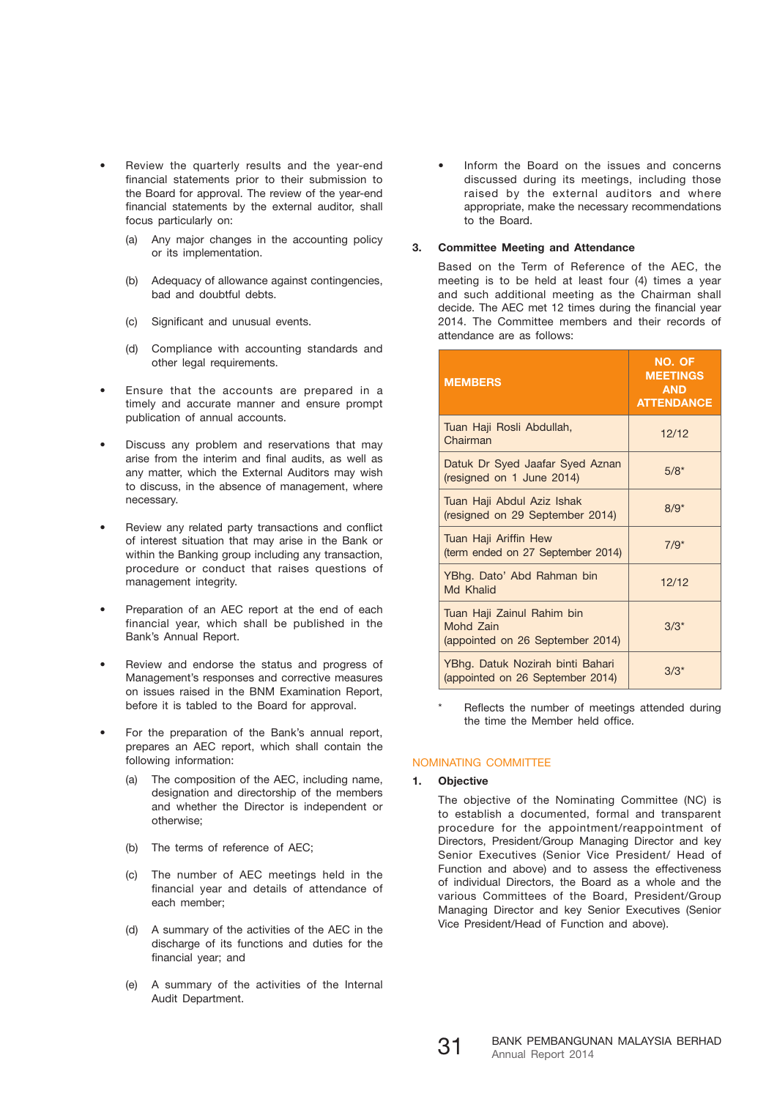- Review the quarterly results and the year-end financial statements prior to their submission to the Board for approval. The review of the year-end financial statements by the external auditor, shall focus particularly on:
	- (a) Any major changes in the accounting policy or its implementation.
	- (b) Adequacy of allowance against contingencies, bad and doubtful debts.
	- (c) Significant and unusual events.
	- (d) Compliance with accounting standards and other legal requirements.
- Ensure that the accounts are prepared in a timely and accurate manner and ensure prompt publication of annual accounts.
- Discuss any problem and reservations that may arise from the interim and final audits, as well as any matter, which the External Auditors may wish to discuss, in the absence of management, where necessary.
- Review any related party transactions and conflict of interest situation that may arise in the Bank or within the Banking group including any transaction, procedure or conduct that raises questions of management integrity.
- Preparation of an AEC report at the end of each financial year, which shall be published in the Bank's Annual Report.
- Review and endorse the status and progress of Management's responses and corrective measures on issues raised in the BNM Examination Report, before it is tabled to the Board for approval.
- For the preparation of the Bank's annual report, prepares an AEC report, which shall contain the following information:
	- (a) The composition of the AEC, including name, designation and directorship of the members and whether the Director is independent or otherwise;
	- (b) The terms of reference of AEC;
	- (c) The number of AEC meetings held in the financial year and details of attendance of each member;
	- (d) A summary of the activities of the AEC in the discharge of its functions and duties for the financial year; and
	- (e) A summary of the activities of the Internal Audit Department.

• Inform the Board on the issues and concerns discussed during its meetings, including those raised by the external auditors and where appropriate, make the necessary recommendations to the Board.

# **3. Committee Meeting and Attendance**

 Based on the Term of Reference of the AEC, the meeting is to be held at least four (4) times a year and such additional meeting as the Chairman shall decide. The AEC met 12 times during the financial year 2014. The Committee members and their records of attendance are as follows:

| <b>MEMBERS</b>                                                              | NO. OF<br><b>MEETINGS</b><br><b>AND</b><br><b>ATTENDANCE</b> |
|-----------------------------------------------------------------------------|--------------------------------------------------------------|
| Tuan Haji Rosli Abdullah,<br>Chairman                                       | 12/12                                                        |
| Datuk Dr Syed Jaafar Syed Aznan<br>(resigned on 1 June 2014)                | $5/8*$                                                       |
| Tuan Haji Abdul Aziz Ishak<br>(resigned on 29 September 2014)               | $8/9*$                                                       |
| Tuan Haji Ariffin Hew<br>(term ended on 27 September 2014)                  | $7/9*$                                                       |
| YBhg. Dato' Abd Rahman bin<br>Md Khalid                                     | 12/12                                                        |
| Tuan Haji Zainul Rahim bin<br>Mohd Zain<br>(appointed on 26 September 2014) | $3/3*$                                                       |
| YBhg. Datuk Nozirah binti Bahari<br>(appointed on 26 September 2014)        | $3/3*$                                                       |

Reflects the number of meetings attended during the time the Member held office.

# NOMINATING COMMITTEE

# **1. Objective**

 The objective of the Nominating Committee (NC) is to establish a documented, formal and transparent procedure for the appointment/reappointment of Directors, President/Group Managing Director and key Senior Executives (Senior Vice President/ Head of Function and above) and to assess the effectiveness of individual Directors, the Board as a whole and the various Committees of the Board, President/Group Managing Director and key Senior Executives (Senior Vice President/Head of Function and above).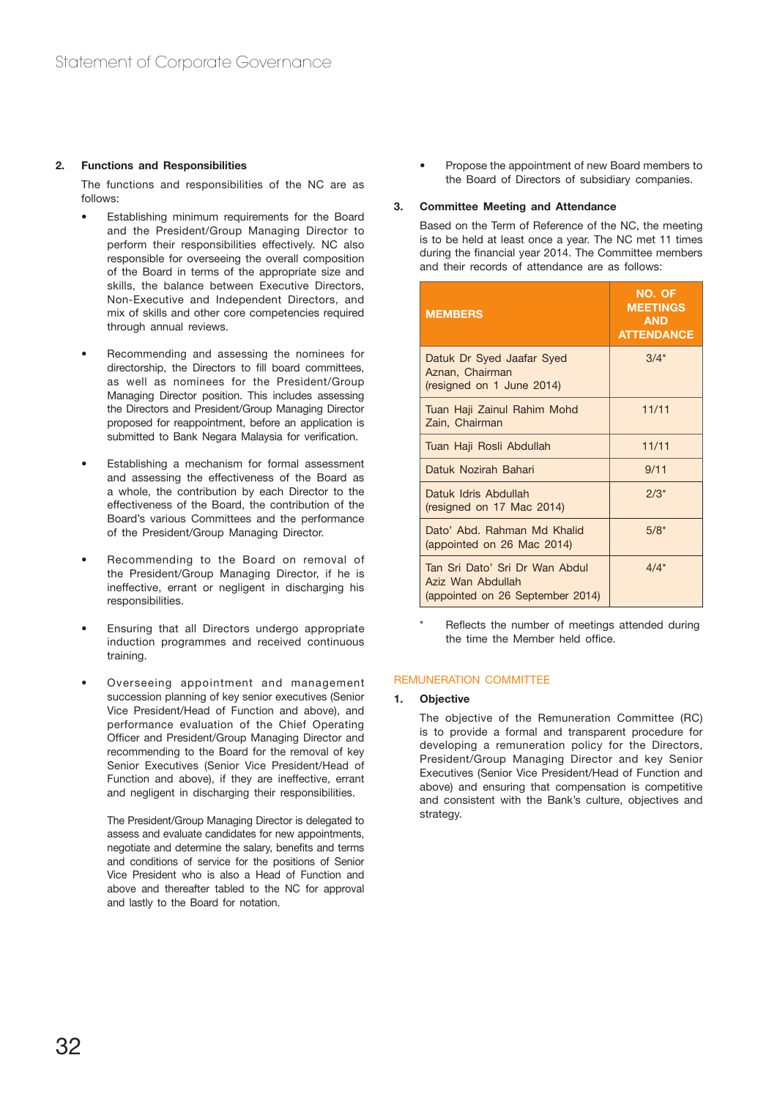# **2. Functions and Responsibilities**

 The functions and responsibilities of the NC are as follows:

- Establishing minimum requirements for the Board and the President/Group Managing Director to perform their responsibilities effectively. NC also responsible for overseeing the overall composition of the Board in terms of the appropriate size and skills, the balance between Executive Directors, Non-Executive and Independent Directors, and mix of skills and other core competencies required through annual reviews.
- Recommending and assessing the nominees for directorship, the Directors to fill board committees, as well as nominees for the President/Group Managing Director position. This includes assessing the Directors and President/Group Managing Director proposed for reappointment, before an application is submitted to Bank Negara Malaysia for verification.
- Establishing a mechanism for formal assessment and assessing the effectiveness of the Board as a whole, the contribution by each Director to the effectiveness of the Board, the contribution of the Board's various Committees and the performance of the President/Group Managing Director.
- Recommending to the Board on removal of the President/Group Managing Director, if he is ineffective, errant or negligent in discharging his responsibilities.
- Ensuring that all Directors undergo appropriate induction programmes and received continuous training.
- Overseeing appointment and management succession planning of key senior executives (Senior Vice President/Head of Function and above), and performance evaluation of the Chief Operating Officer and President/Group Managing Director and recommending to the Board for the removal of key Senior Executives (Senior Vice President/Head of Function and above), if they are ineffective, errant and negligent in discharging their responsibilities.

 The President/Group Managing Director is delegated to assess and evaluate candidates for new appointments, negotiate and determine the salary, benefits and terms and conditions of service for the positions of Senior Vice President who is also a Head of Function and above and thereafter tabled to the NC for approval and lastly to the Board for notation.

• Propose the appointment of new Board members to the Board of Directors of subsidiary companies.

#### **3. Committee Meeting and Attendance**

 Based on the Term of Reference of the NC, the meeting is to be held at least once a year. The NC met 11 times during the financial year 2014. The Committee members and their records of attendance are as follows:

| <b>MEMBERS</b>                                                                          | NO. OF<br><b>MEETINGS</b><br><b>AND</b><br><b>ATTENDANCE</b> |
|-----------------------------------------------------------------------------------------|--------------------------------------------------------------|
| Datuk Dr Syed Jaafar Syed<br>Aznan, Chairman<br>(resigned on 1 June 2014)               | $3/4*$                                                       |
| Tuan Haji Zainul Rahim Mohd<br>Zain, Chairman                                           | 11/11                                                        |
| Tuan Haji Rosli Abdullah                                                                | 11/11                                                        |
| Datuk Nozirah Bahari                                                                    | 9/11                                                         |
| Datuk Idris Abdullah<br>(resigned on 17 Mac 2014)                                       | $2/3*$                                                       |
| Dato' Abd. Rahman Md Khalid<br>(appointed on 26 Mac 2014)                               | $5/8*$                                                       |
| Tan Sri Dato' Sri Dr Wan Abdul<br>Aziz Wan Abdullah<br>(appointed on 26 September 2014) | $4/4*$                                                       |

Reflects the number of meetings attended during the time the Member held office.

#### REMUNERATION COMMITTEE

#### **1. Objective**

 The objective of the Remuneration Committee (RC) is to provide a formal and transparent procedure for developing a remuneration policy for the Directors, President/Group Managing Director and key Senior Executives (Senior Vice President/Head of Function and above) and ensuring that compensation is competitive and consistent with the Bank's culture, objectives and strategy.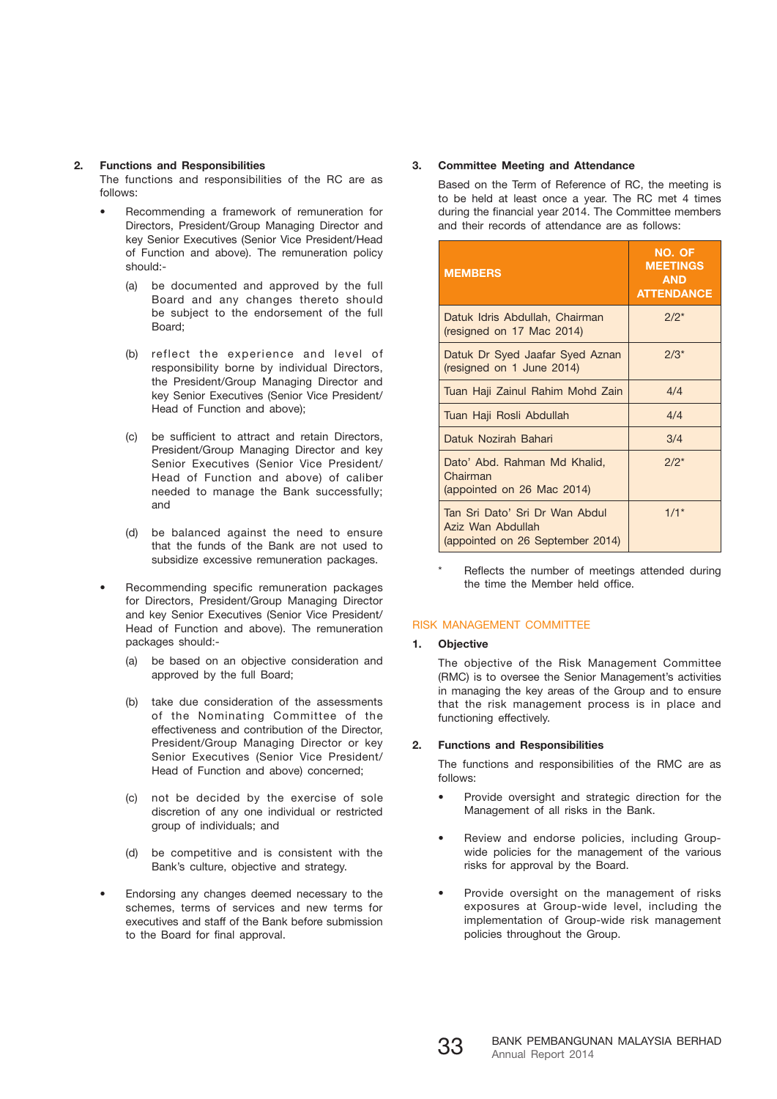#### **2. Functions and Responsibilities**

 The functions and responsibilities of the RC are as follows:

- Recommending a framework of remuneration for Directors, President/Group Managing Director and key Senior Executives (Senior Vice President/Head of Function and above). The remuneration policy should:-
	- (a) be documented and approved by the full Board and any changes thereto should be subject to the endorsement of the full Board;
	- (b) reflect the experience and level of responsibility borne by individual Directors, the President/Group Managing Director and key Senior Executives (Senior Vice President/ Head of Function and above);
	- (c) be sufficient to attract and retain Directors, President/Group Managing Director and key Senior Executives (Senior Vice President/ Head of Function and above) of caliber needed to manage the Bank successfully; and
	- (d) be balanced against the need to ensure that the funds of the Bank are not used to subsidize excessive remuneration packages.
- Recommending specific remuneration packages for Directors, President/Group Managing Director and key Senior Executives (Senior Vice President/ Head of Function and above). The remuneration packages should:-
	- (a) be based on an objective consideration and approved by the full Board;
	- (b) take due consideration of the assessments of the Nominating Committee of the effectiveness and contribution of the Director, President/Group Managing Director or key Senior Executives (Senior Vice President/ Head of Function and above) concerned;
	- (c) not be decided by the exercise of sole discretion of any one individual or restricted group of individuals; and
	- (d) be competitive and is consistent with the Bank's culture, objective and strategy.
- Endorsing any changes deemed necessary to the schemes, terms of services and new terms for executives and staff of the Bank before submission to the Board for final approval.

# **3. Committee Meeting and Attendance**

 Based on the Term of Reference of RC, the meeting is to be held at least once a year. The RC met 4 times during the financial year 2014. The Committee members and their records of attendance are as follows:

| <b>MEMBERS</b>                                                                          | NO. OF<br><b>MEETINGS</b><br><b>AND</b><br><b>ATTENDANCE</b> |
|-----------------------------------------------------------------------------------------|--------------------------------------------------------------|
| Datuk Idris Abdullah, Chairman<br>(resigned on 17 Mac 2014)                             | $2/2^{*}$                                                    |
| Datuk Dr Syed Jaafar Syed Aznan<br>(resigned on 1 June 2014)                            | $2/3^{*}$                                                    |
| Tuan Haji Zainul Rahim Mohd Zain                                                        | 4/4                                                          |
| Tuan Haji Rosli Abdullah                                                                | 4/4                                                          |
| Datuk Nozirah Bahari                                                                    | 3/4                                                          |
| Dato' Abd. Rahman Md Khalid,<br>Chairman<br>(appointed on 26 Mac 2014)                  | $2/2^{*}$                                                    |
| Tan Sri Dato' Sri Dr Wan Abdul<br>Aziz Wan Abdullah<br>(appointed on 26 September 2014) | $1/1*$                                                       |

Reflects the number of meetings attended during the time the Member held office.

# RISK MANAGEMENT COMMITTEE

# **1. Objective**

 The objective of the Risk Management Committee (RMC) is to oversee the Senior Management's activities in managing the key areas of the Group and to ensure that the risk management process is in place and functioning effectively.

# **2. Functions and Responsibilities**

 The functions and responsibilities of the RMC are as follows:

- Provide oversight and strategic direction for the Management of all risks in the Bank.
- Review and endorse policies, including Groupwide policies for the management of the various risks for approval by the Board.
- Provide oversight on the management of risks exposures at Group-wide level, including the implementation of Group-wide risk management policies throughout the Group.